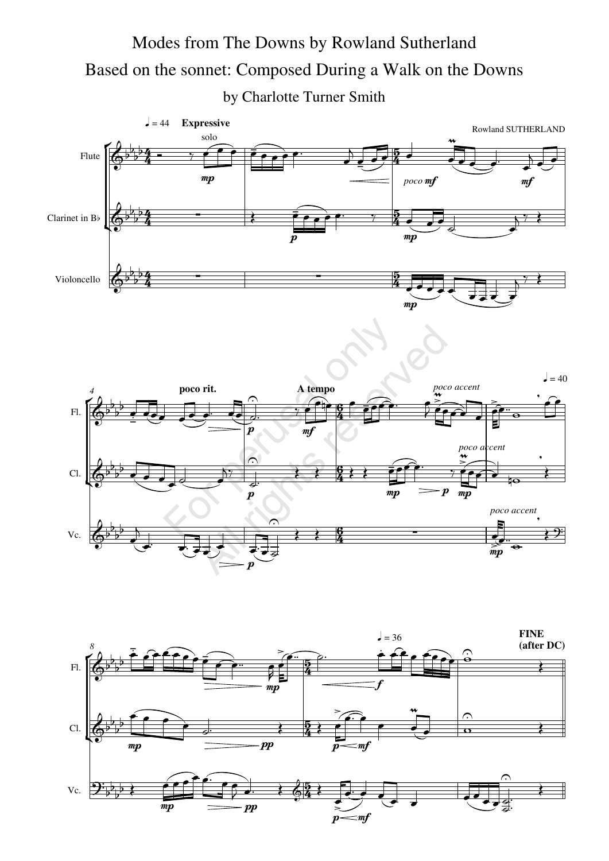## Based on the sonnet: Composed During a Walk on the Downs Modes from The Downs by Rowland Sutherland

by Charlotte Turner Smith





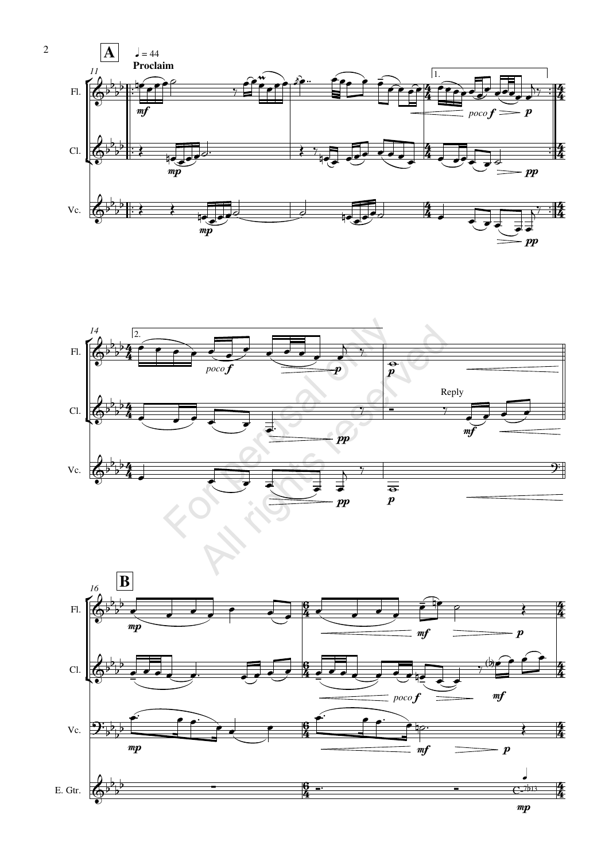



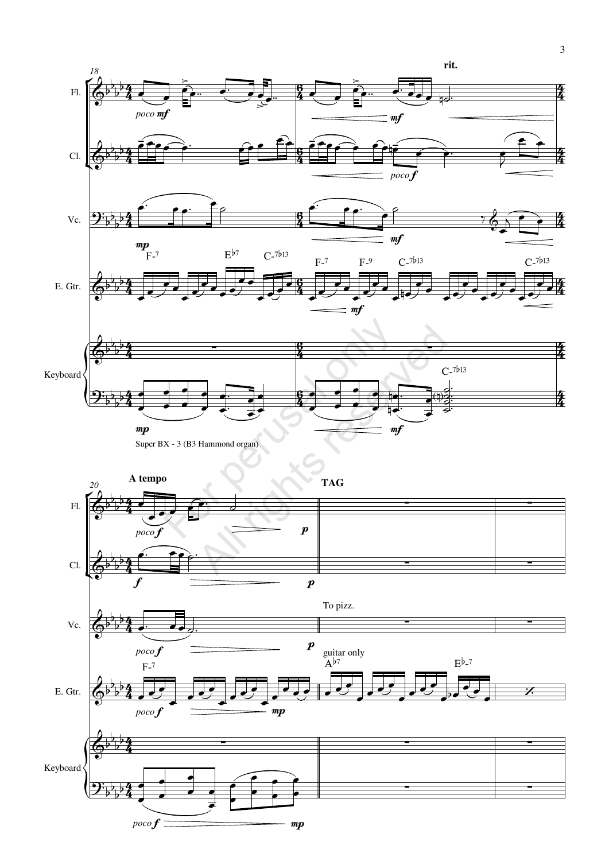





 $\overline{\phantom{a}}$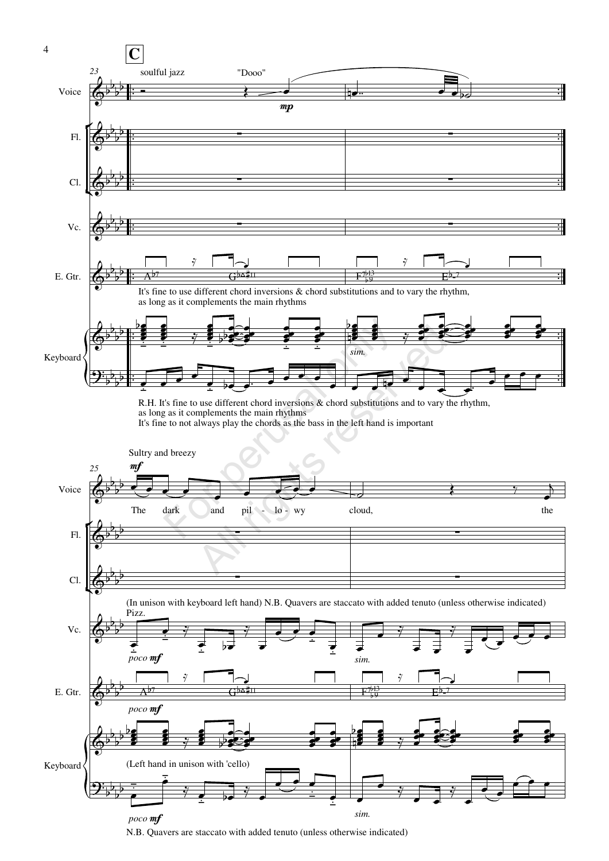





N.B. Quavers are staccato with added tenuto (unless otherwise indicated)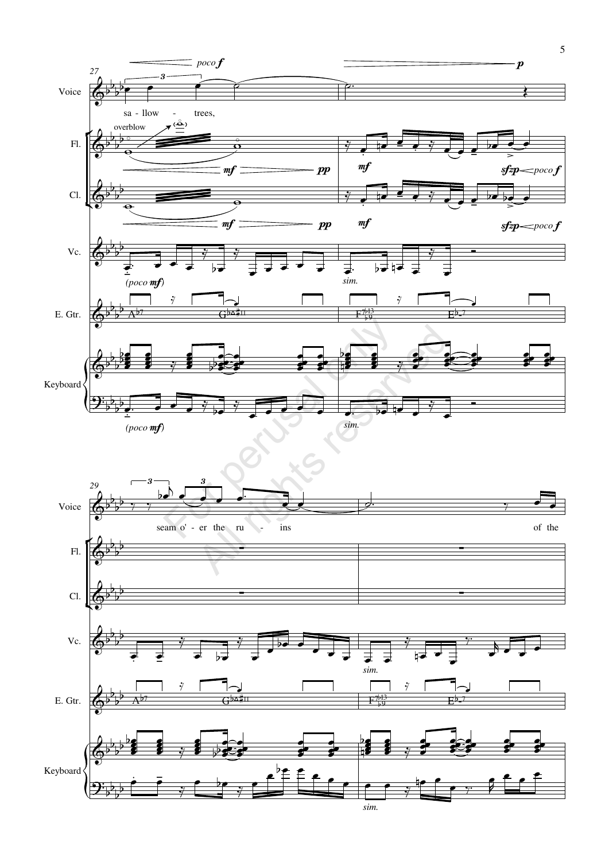

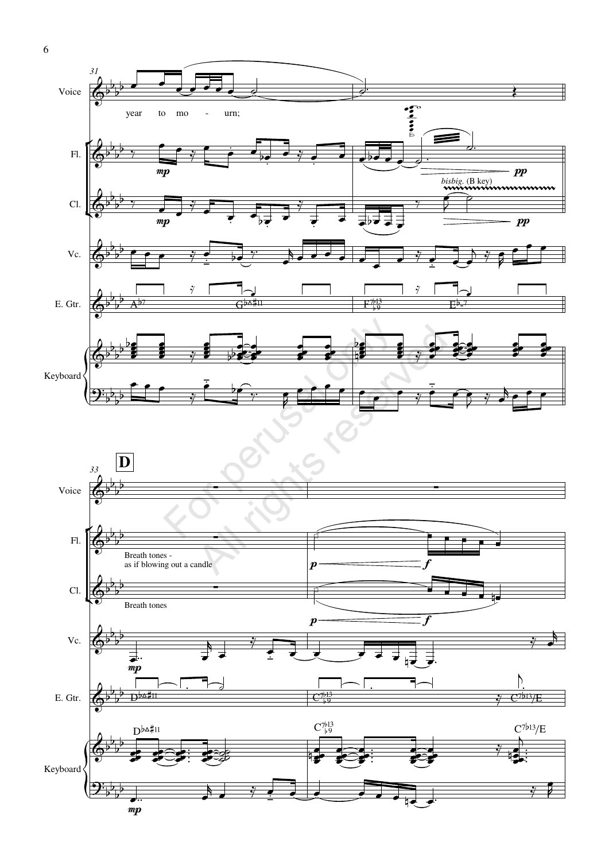

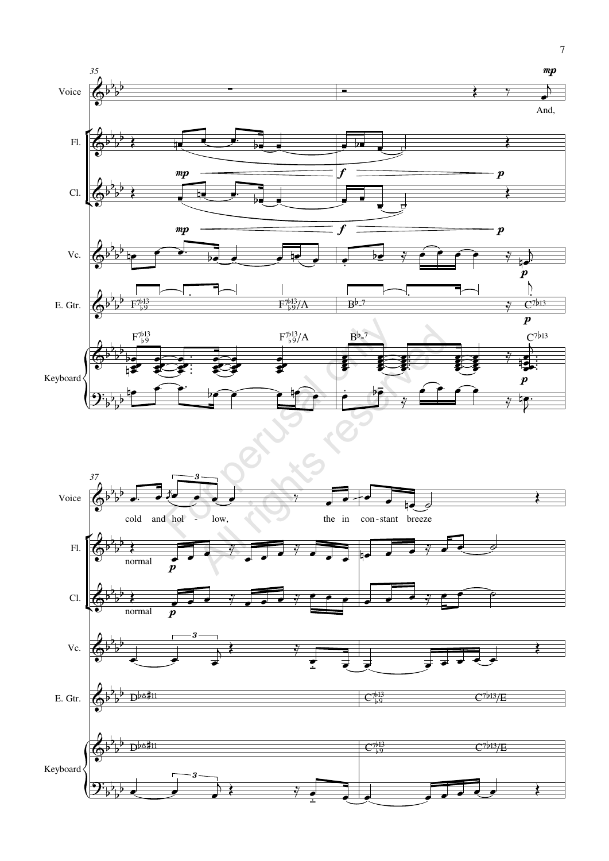

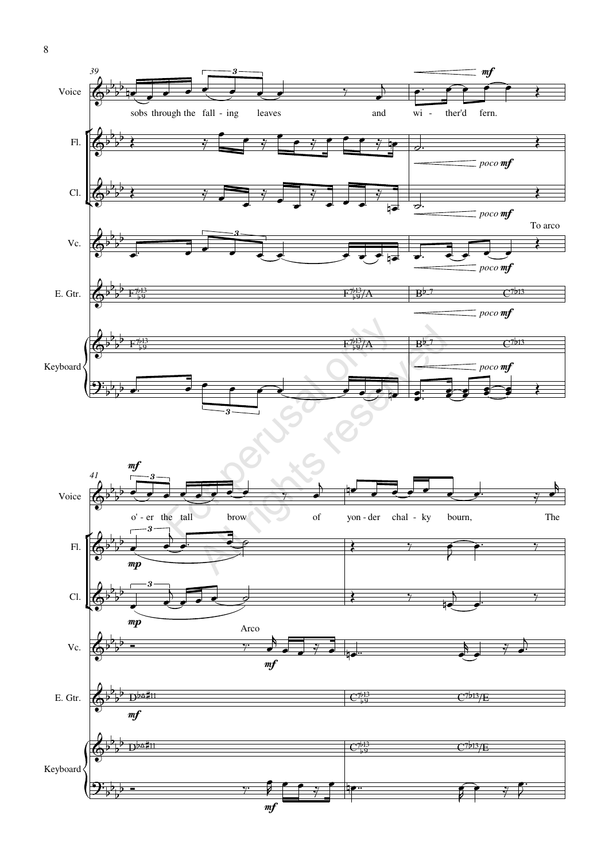

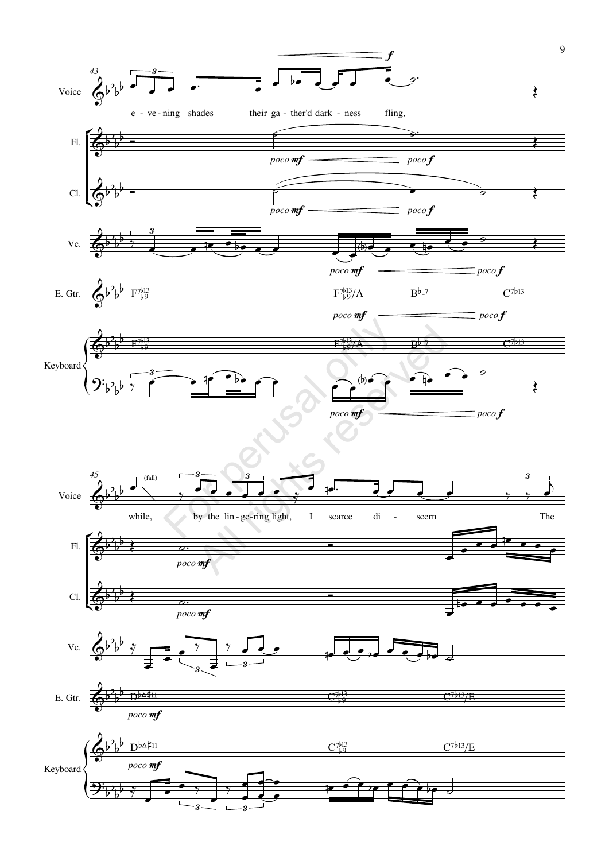![](_page_8_Figure_0.jpeg)

![](_page_8_Figure_1.jpeg)

 $3$   $3$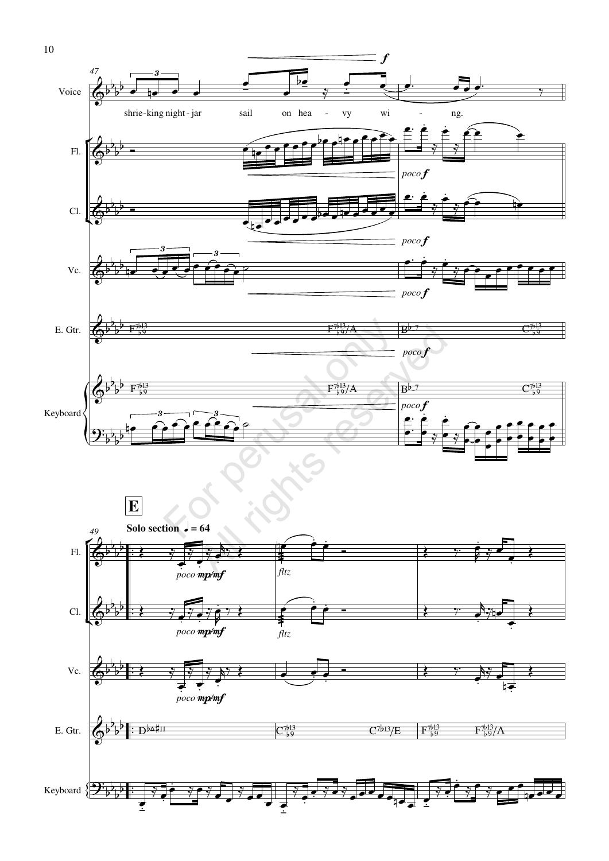![](_page_9_Figure_0.jpeg)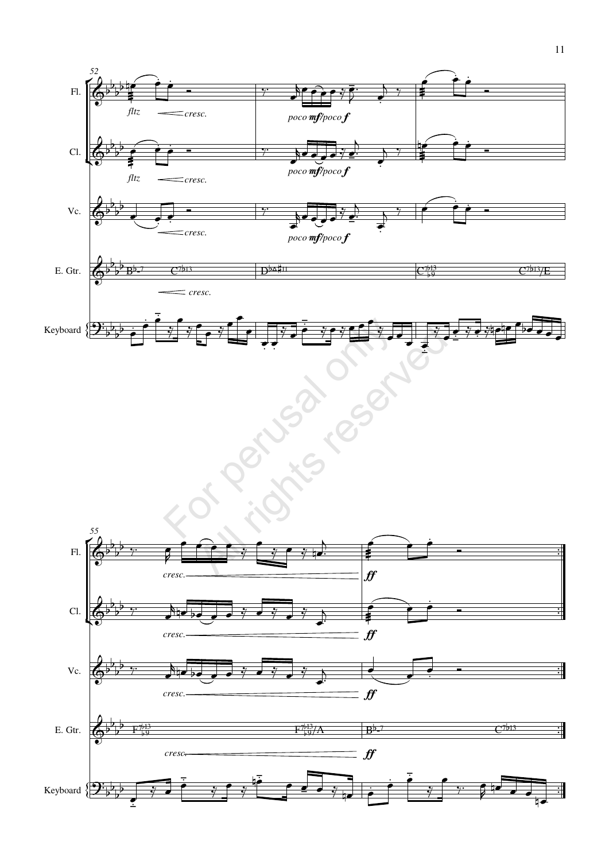![](_page_10_Figure_0.jpeg)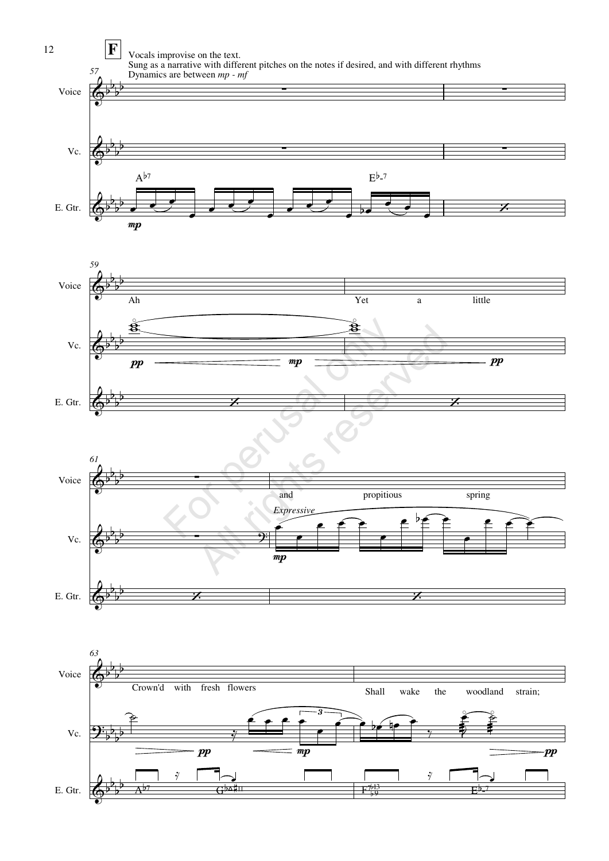![](_page_11_Figure_0.jpeg)

12